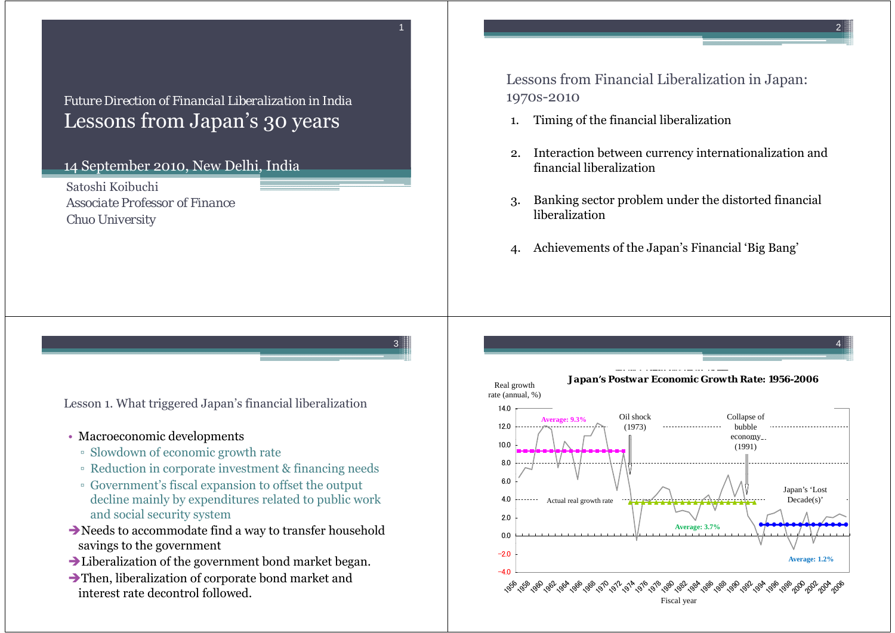## *Future Direction of Financial Liberalization in India*Lessons from Japan's 30 years

1

3

## 14 September 2010, New Delhi, India

Satoshi Koibuchi*Associate Professor of FinanceChuo University*

Lessons from Financial Liberalization in Japan: 1970s-2010

- 1.Timing of the financial liberalization
- 2. Interaction between currency internationalization and financial liberalization
- 3. Banking sector problem under the distorted financial liberalization
- 4. Achievements of the Japan's Financial 'Big Bang'

Lesson 1. What triggered Japan's financial liberalization

- Macroeconomic developments
	- Slowdown of economic growth rate
	- Reduction in corporate investment & financing needs
	- Government's fiscal expansion to offset the output decline mainly by expenditures related to public work and social security system
- Needs to accommodate find a way to transfer household savings to the government
- Liberalization of the government bond market began.
- $\rightarrow$  Then, liberalization of corporate bond market and interest rate decontrol followed.

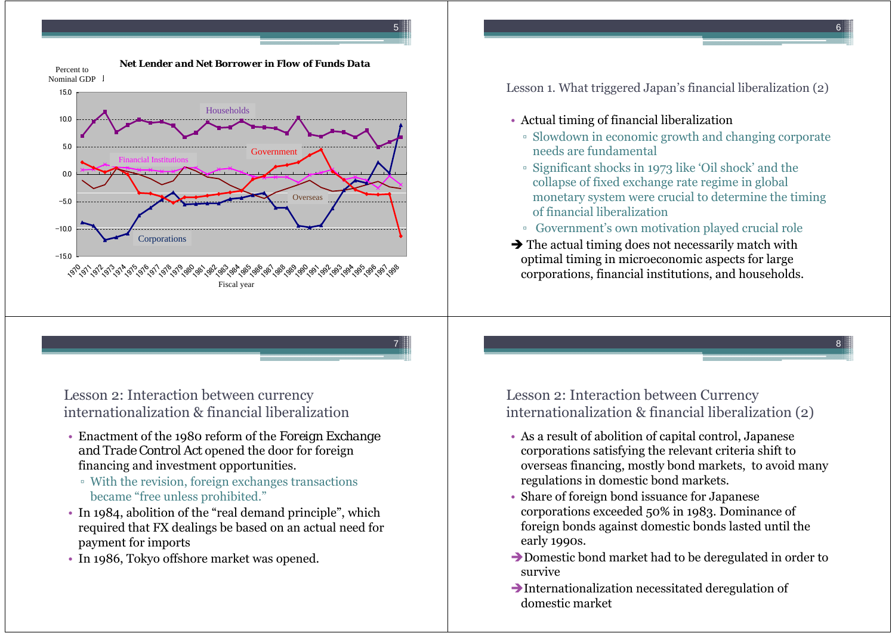

6

8





5

7

Lesson 2: Interaction between currency internationalization & financial liberalization

- Enactment of the 1980 reform of the *Foreign Exchange and Trade Control Act* opened the door for foreign financing and investment opportunities.
	- With the revision, foreign exchanges transactions became "free unless prohibited."
- In 1984, abolition of the "real demand principle", which required that FX dealings be based on an actual need for payment for imports
- In 1986, Tokyo offshore market was opened.

Lesson 1. What triggered Japan's financial liberalization  $(2)$ 

- Actual timing of financial liberalization
	- Slowdown in economic growth and changing corporate needs are fundamental
	- Significant shocks in 1973 like 'Oil shock' and the collapse of fixed exchange rate regime in global monetary system were crucial to determine the timing of financial liberalization
	- Government's own motivation played crucial role
- $\rightarrow$  The actual timing does not necessarily match with optimal timing in microeconomic aspects for large corporations, financial institutions, and households.

Lesson 2: Interaction between Currency internationalization & financial liberalization (2)

- As a result of abolition of capital control, Japanese corporations satisfying the relevant criteria shift to overseas financing, mostly bond markets, to avoid many regulations in domestic bond markets.
- Share of foreign bond issuance for Japanese corporations exceeded 50% in 1983. Dominance of foreign bonds against domestic bonds lasted until the early 1990s.
- $\rightarrow$  Domestic bond market had to be deregulated in order to survive
- $\rightarrow$ Internationalization necessitated deregulation of domestic market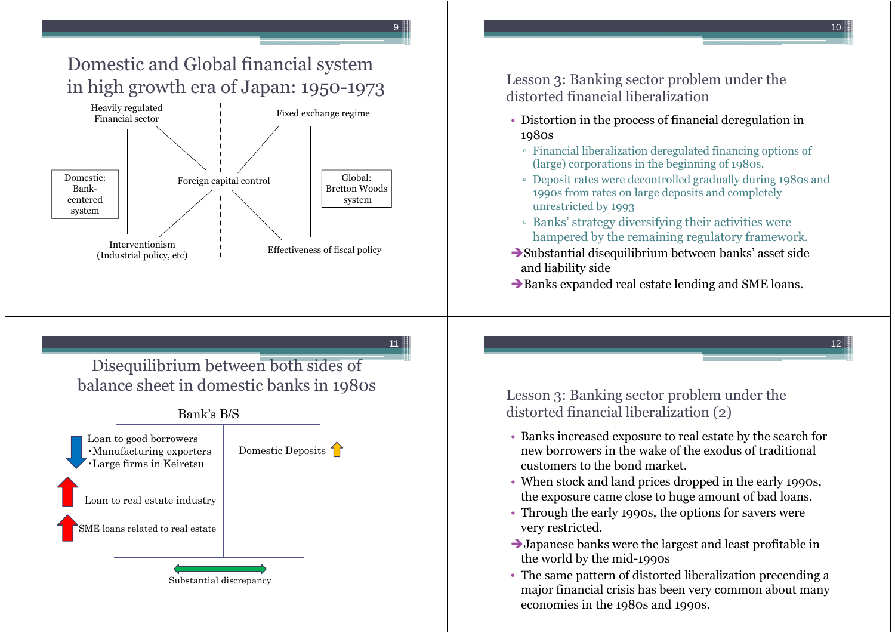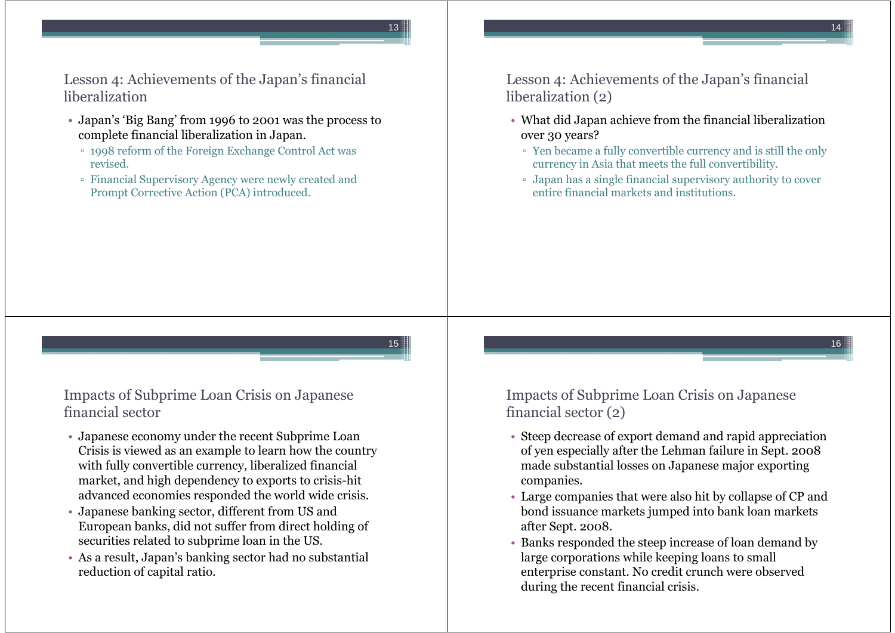16

Lesson 4: Achievements of the Japan's financial liberalization

- Japan's 'Big Bang' from 1996 to 2001 was the process to complete financial liberalization in Japan.
	- 1998 reform of the Foreign Exchange Control Act was revised.
	- Financial Supervisory Agency were newly created and Prompt Corrective Action (PCA) introduced.

Lesson 4: Achievements of the Japan's financial liberalization (2)

- What did Japan achieve from the financial liberalization over 30 years?
	- Yen became a fully convertible currency and is still the only currency in Asia that meets the full convertibility.
	- Japan has a single financial supervisory authority to cover entire financial markets and institutions.

15

13

Impacts of Subprime Loan Crisis on Japanese financial sector

- Japanese economy under the recent Subprime Loan Crisis is viewed as an example to learn how the country with fully convertible currency, liberalized financial market, and high dependency to exports to crisis-hit advanced economies responded the world wide crisis.
- Japanese banking sector, different from US and European banks, did not suffer from direct holding of securities related to subprime loan in the US.
- As a result, Japan's banking sector had no substantial reduction of capital ratio.

Impacts of Subprime Loan Crisis on Japanese financial sector (2)

- Steep decrease of export demand and rapid appreciation of yen especially after the Lehman failure in Sept. 2008 made substantial losses on Japanese major exporting companies.
- Large companies that were also hit by collapse of CP and bond issuance markets jumped into bank loan markets after Sept. 2008.
- Banks responded the steep increase of loan demand by large corporations while keeping loans to small enterprise constant. No credit crunch were observed during the recent financial crisis.